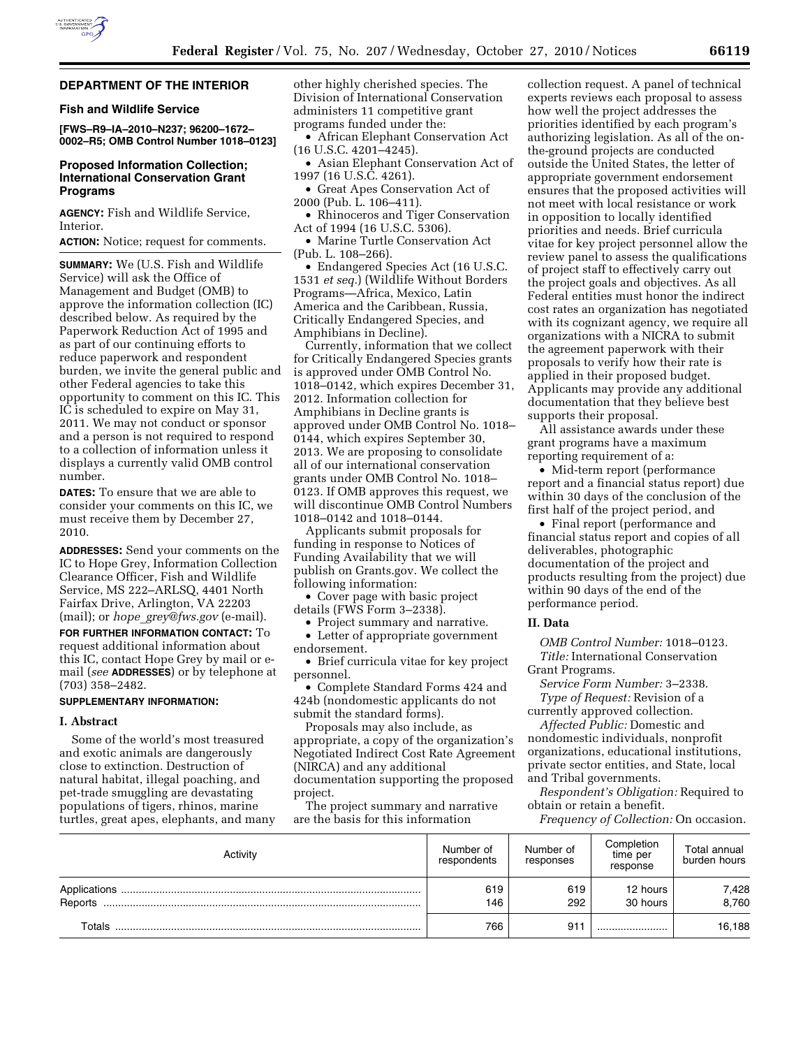

# **DEPARTMENT OF THE INTERIOR**

### **Fish and Wildlife Service**

**[FWS–R9–IA–2010–N237; 96200–1672– 0002–R5; OMB Control Number 1018–0123]** 

# **Proposed Information Collection; International Conservation Grant Programs**

**AGENCY:** Fish and Wildlife Service, Interior.

**ACTION:** Notice; request for comments.

**SUMMARY:** We (U.S. Fish and Wildlife Service) will ask the Office of Management and Budget (OMB) to approve the information collection (IC) described below. As required by the Paperwork Reduction Act of 1995 and as part of our continuing efforts to reduce paperwork and respondent burden, we invite the general public and other Federal agencies to take this opportunity to comment on this IC. This IC is scheduled to expire on May 31, 2011. We may not conduct or sponsor and a person is not required to respond to a collection of information unless it displays a currently valid OMB control number.

**DATES:** To ensure that we are able to consider your comments on this IC, we must receive them by December 27, 2010.

**ADDRESSES:** Send your comments on the IC to Hope Grey, Information Collection Clearance Officer, Fish and Wildlife Service, MS 222–ARLSQ, 4401 North Fairfax Drive, Arlington, VA 22203 (mail); or *hope*\_*[grey@fws.gov](mailto:hope_grey@fws.gov)* (e-mail).

**FOR FURTHER INFORMATION CONTACT:** To request additional information about this IC, contact Hope Grey by mail or email (*see* **ADDRESSES**) or by telephone at (703) 358–2482.

### **SUPPLEMENTARY INFORMATION:**

#### **I. Abstract**

Some of the world's most treasured and exotic animals are dangerously close to extinction. Destruction of natural habitat, illegal poaching, and pet-trade smuggling are devastating populations of tigers, rhinos, marine turtles, great apes, elephants, and many other highly cherished species. The Division of International Conservation administers 11 competitive grant programs funded under the:

• African Elephant Conservation Act (16 U.S.C. 4201–4245).

- Asian Elephant Conservation Act of 1997 (16 U.S.C. 4261).
- Great Apes Conservation Act of 2000 (Pub. L. 106–411).
- Rhinoceros and Tiger Conservation Act of 1994 (16 U.S.C. 5306).
- Marine Turtle Conservation Act (Pub. L. 108–266).

• Endangered Species Act (16 U.S.C. 1531 *et seq.*) (Wildlife Without Borders Programs—Africa, Mexico, Latin America and the Caribbean, Russia, Critically Endangered Species, and Amphibians in Decline).

Currently, information that we collect for Critically Endangered Species grants is approved under OMB Control No. 1018–0142, which expires December 31, 2012. Information collection for Amphibians in Decline grants is approved under OMB Control No. 1018– 0144, which expires September 30, 2013. We are proposing to consolidate all of our international conservation grants under OMB Control No. 1018– 0123. If OMB approves this request, we will discontinue OMB Control Numbers 1018–0142 and 1018–0144.

Applicants submit proposals for funding in response to Notices of Funding Availability that we will publish on Grants.gov. We collect the following information:

• Cover page with basic project details (FWS Form 3–2338).

- Project summary and narrative. • Letter of appropriate government
- endorsement.

• Brief curricula vitae for key project personnel.

• Complete Standard Forms 424 and 424b (nondomestic applicants do not submit the standard forms).

Proposals may also include, as appropriate, a copy of the organization's Negotiated Indirect Cost Rate Agreement (NIRCA) and any additional documentation supporting the proposed project.

The project summary and narrative are the basis for this information

collection request. A panel of technical experts reviews each proposal to assess how well the project addresses the priorities identified by each program's authorizing legislation. As all of the onthe-ground projects are conducted outside the United States, the letter of appropriate government endorsement ensures that the proposed activities will not meet with local resistance or work in opposition to locally identified priorities and needs. Brief curricula vitae for key project personnel allow the review panel to assess the qualifications of project staff to effectively carry out the project goals and objectives. As all Federal entities must honor the indirect cost rates an organization has negotiated with its cognizant agency, we require all organizations with a NICRA to submit the agreement paperwork with their proposals to verify how their rate is applied in their proposed budget. Applicants may provide any additional documentation that they believe best supports their proposal.

All assistance awards under these grant programs have a maximum reporting requirement of a:

• Mid-term report (performance report and a financial status report) due within 30 days of the conclusion of the first half of the project period, and

• Final report (performance and financial status report and copies of all deliverables, photographic documentation of the project and products resulting from the project) due within 90 days of the end of the performance period.

### **II. Data**

*OMB Control Number:* 1018–0123. *Title:* International Conservation

Grant Programs. *Service Form Number:* 3–2338.

*Type of Request:* Revision of a currently approved collection.

*Affected Public:* Domestic and nondomestic individuals, nonprofit organizations, educational institutions, private sector entities, and State, local and Tribal governments.

*Respondent's Obligation:* Required to obtain or retain a benefit.

*Frequency of Collection:* On occasion.

| Activity                | Number of<br>respondents | Number of<br>responses | Completion<br>time per<br>response | Total annual<br>burden hours |
|-------------------------|--------------------------|------------------------|------------------------------------|------------------------------|
| Applications<br>Reports | 619<br>146               | 619<br>292             | 12 hours<br>30 hours               | 7,428<br>8,760               |
| Totals                  | 766                      | 911                    |                                    | 16,188                       |